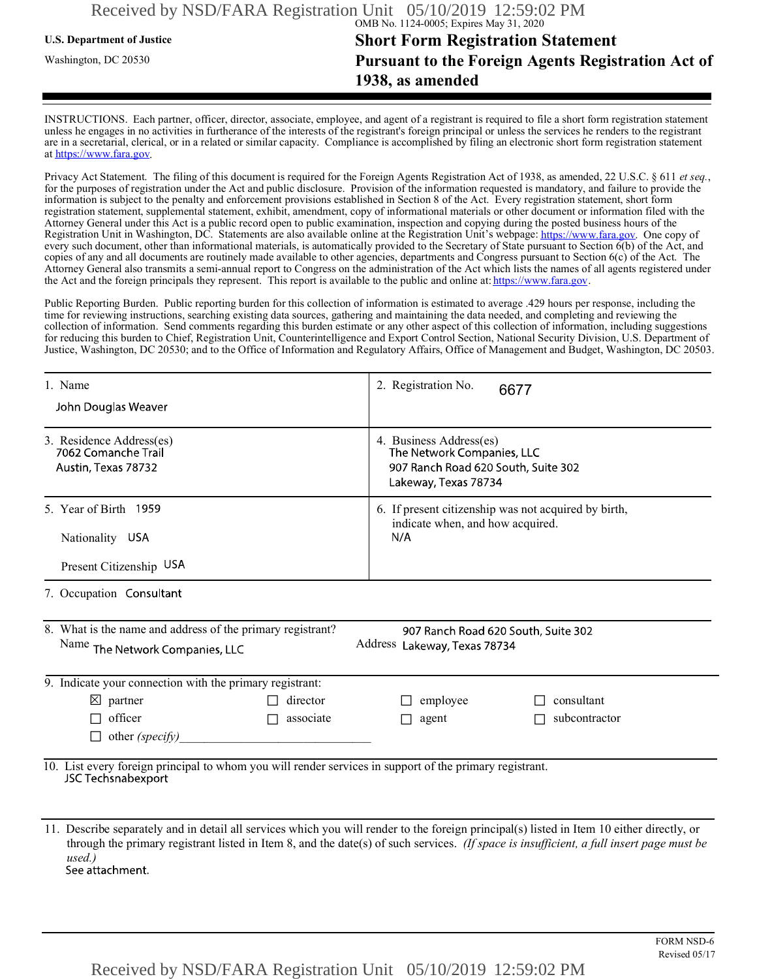# *U.S. Department of Justice* **63 1288 5186 5186 5186 5186 5186 5186 5186 5186 5186 5186 5186 5186 5186 5186 5186 5186 5186 5186 5186 5186 5186 5186 5186 5186 5186 518** Washington, DC 20530 **Pursuant to the Foreign Agents Registration Act of 1938, as amended**

INSTRUCTIONS. Each partner, officer, director, associate, employee, and agent of a registrant is required to file a short form registration statement unless he engages in no activities in furtherance of the interests of the registrant's foreign principal or unless the services he renders to the registrant are in a secretarial, clerical, or in a related or similar capacity. Compliance is accomplished by filing an electronic short form registration statement at https://www.fara.gov

Privacy Act Statement. The filing of this document is required for the Foreign Agents Registration Act of 1938, as amended, 22 U.S.C. § 611 et seq., for the purposes of registration under the Act and public disclosure. Provision of the information requested is mandatory, and failure to provide the information is subject to the penalty and enforcement provisions established in Section 8 of the Act. Every registration statement, short form registration statement, supplemental statement, exhibit, amendment, copy of informational materials or other document or information filed with the Attorney General under this Act is a public record open to public examination, inspection and copying during the posted business hours of the Registration Unit in Washington, DC. Statements are also available online at the Registration Unit's webpage: https://www.fara.gov. One copy of ενειχ such document, other than informational materials, is automatically provided to the Secretary of State pursuant to Section  $\tilde{6}(b)$  of the Act, and copies of any and all documents are routinely made available to other agencies, departments and Congress pursuant to Section  $6(c)$  of the Act. The Attorney General also transmits a semi-annual report to Congress on the administration of the Act which lists the names of all agents registered under the Act and the foreign principals they represent. This report is available to the public and online at: https://www.fara.gov.

Public Reporting Burden. Public reporting burden for this collection of information is estimated to average .429 hours per response, including the time for reviewing instructions, searching existing data sources, gathering and maintaining the data needed, and completing and reviewing the collection of information. Send comments regarding this burden estimate or any other aspect of this collection of information, including suggestions for reducing this burden to Chief, Registration Unit, Counterintelligence and Export Control Section, National Security Division, U.S. Department of Justice, Washington, DC 20530; and to the Office of Information and Regulatory Affairs, Office of Management and Budget, Washington, DC 20503.

| 1. Name<br>John Douglas Weaver                                                                                                | 2. Registration No.<br>6677                                                                                          |  |
|-------------------------------------------------------------------------------------------------------------------------------|----------------------------------------------------------------------------------------------------------------------|--|
| 3. Residence Address(es)<br>7062 Comanche Trail<br>Austin, Texas 78732                                                        | 4. Business Address(es)<br>The Network Companies, LLC<br>907 Ranch Road 620 South, Suite 302<br>Lakeway, Texas 78734 |  |
| 5. Year of Birth 1959<br>Nationality USA                                                                                      | 6. If present citizenship was not acquired by birth,<br>indicate when, and how acquired.<br>N/A                      |  |
| Present Citizenship USA                                                                                                       |                                                                                                                      |  |
| 7. Occupation Consultant                                                                                                      |                                                                                                                      |  |
| 8. What is the name and address of the primary registrant?<br>Name The Network Companies, LLC                                 | 907 Ranch Road 620 South, Suite 302<br>Address Lakeway, Texas 78734                                                  |  |
| 9. Indicate your connection with the primary registrant:                                                                      |                                                                                                                      |  |
| $\boxtimes$ partner<br>director                                                                                               | consultant<br>employee                                                                                               |  |
| officer<br>associate                                                                                                          | subcontractor<br>agent                                                                                               |  |
| other (specify)                                                                                                               |                                                                                                                      |  |
| 10. List every foreign principal to whom you will render services in support of the primary registrant.<br>JSC Techsnabexport |                                                                                                                      |  |

11. Describe separately and in detail all services which you will render to the foreign principal(s) listed in Item 10 either directly, or through the primary registrant listed in Item 8, and the date(s) of such services. (If space is insufficient, a full insert page must be  $used.)$ See attachment.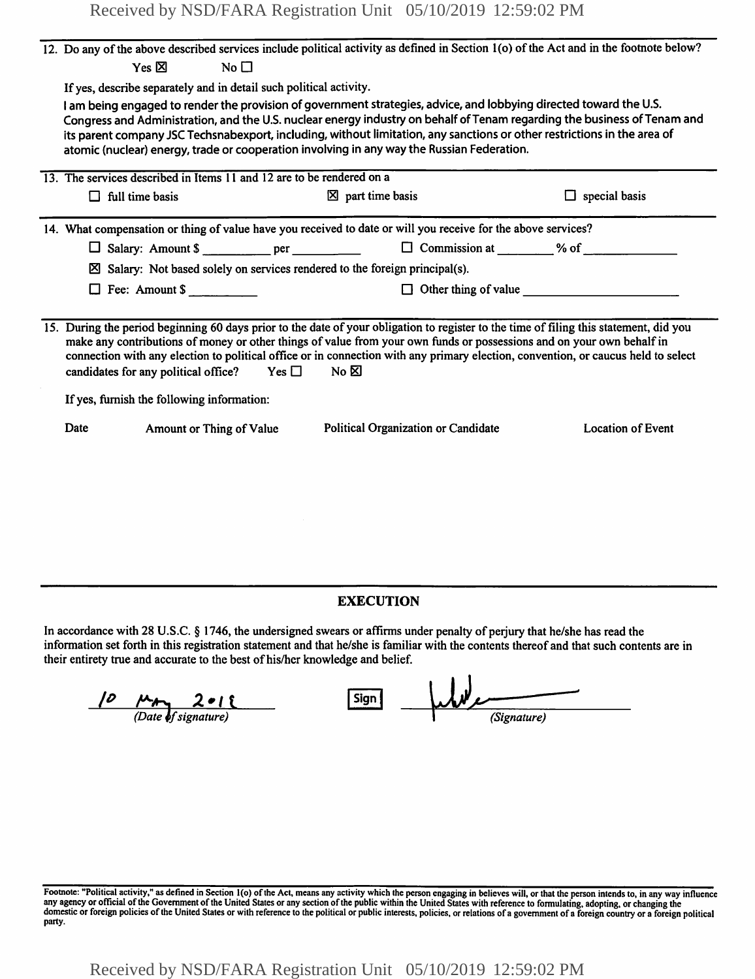Received by NSD/FARA Registration Unit 05/10/2019 12:59:02 PM

|      |                                            |                                                                       |                                                                                            | 12. Do any of the above described services include political activity as defined in Section 1(o) of the Act and in the footnote below?                                                                                                                                                                                                                                                               |
|------|--------------------------------------------|-----------------------------------------------------------------------|--------------------------------------------------------------------------------------------|------------------------------------------------------------------------------------------------------------------------------------------------------------------------------------------------------------------------------------------------------------------------------------------------------------------------------------------------------------------------------------------------------|
|      | Yes $\nabla$                               | $N_0 \Box$                                                            |                                                                                            |                                                                                                                                                                                                                                                                                                                                                                                                      |
|      |                                            | If yes, describe separately and in detail such political activity.    |                                                                                            |                                                                                                                                                                                                                                                                                                                                                                                                      |
|      |                                            |                                                                       | atomic (nuclear) energy, trade or cooperation involving in any way the Russian Federation. | I am being engaged to render the provision of government strategies, advice, and lobbying directed toward the U.S.<br>Congress and Administration, and the U.S. nuclear energy industry on behalf of Tenam regarding the business of Tenam and<br>its parent company JSC Techsnabexport, including, without limitation, any sanctions or other restrictions in the area of                           |
|      |                                            | 13. The services described in Items 11 and 12 are to be rendered on a |                                                                                            |                                                                                                                                                                                                                                                                                                                                                                                                      |
|      | $\Box$ full time basis                     |                                                                       | $\boxtimes$ part time basis                                                                | $\Box$ special basis                                                                                                                                                                                                                                                                                                                                                                                 |
| ×    | $\Box$ Fee: Amount \$                      |                                                                       | Salary: Not based solely on services rendered to the foreign principal(s).                 | $\Box$ Other thing of value                                                                                                                                                                                                                                                                                                                                                                          |
|      | If yes, furnish the following information: | candidates for any political office? Yes $\square$ No $\boxtimes$     |                                                                                            | 15. During the period beginning 60 days prior to the date of your obligation to register to the time of filing this statement, did you<br>make any contributions of money or other things of value from your own funds or possessions and on your own behalf in<br>connection with any election to political office or in connection with any primary election, convention, or caucus held to select |
| Date |                                            | Amount or Thing of Value                                              | Political Organization or Candidate                                                        | <b>Location of Event</b>                                                                                                                                                                                                                                                                                                                                                                             |

### **EXECUTION**

In accordance with 28 U.S.C. § 1746, the undersigned swears or affirms under penalty of perjury that he/she has read the information set forth in this registration statement and that he/she is familiar with the contents thereof and that such contents are in their entirety true and accurate to the best of his/her knowledge and belief.

*<u><i>/D <i>PA* 2018</u> Sign W/L (Date of signature)</u>

Footnote: "Political activity," as defined in Section 1(o) of the Act, means any activity which the person engaging in believes will, or that the person intends to, in any way influence any agency or official of the Government of the United States or any section of the public within the United States with reference to formulating, adopting, or changing the<br>domestic or foreign policies of the United States party.